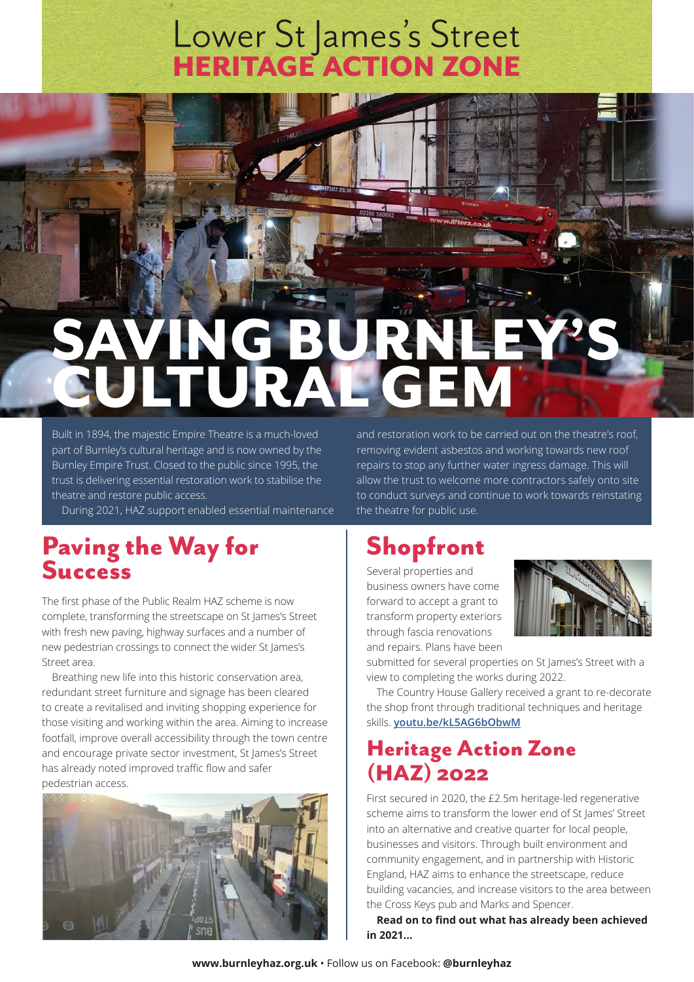# Lower St James's Street<br>HERITAGE ACTION ZONE

## ING BURN<br>TURAL GE CULTURAL GEM

Built in 1894, the majestic Empire Theatre is a much-loved part of Burnley's cultural heritage and is now owned by the Burnley Empire Trust. Closed to the public since 1995, the trust is delivering essential restoration work to stabilise the theatre and restore public access.

During 2021, HAZ support enabled essential maintenance

#### Paving the Way for **Success**

The first phase of the Public Realm HAZ scheme is now complete, transforming the streetscape on St James's Street with fresh new paving, highway surfaces and a number of new pedestrian crossings to connect the wider St James's Street area.

Breathing new life into this historic conservation area, redundant street furniture and signage has been cleared to create a revitalised and inviting shopping experience for those visiting and working within the area. Aiming to increase footfall, improve overall accessibility through the town centre and encourage private sector investment, St James's Street has already noted improved traffic flow and safer pedestrian access.



and restoration work to be carried out on the theatre's roof, removing evident asbestos and working towards new roof repairs to stop any further water ingress damage. This will allow the trust to welcome more contractors safely onto site to conduct surveys and continue to work towards reinstating the theatre for public use.

### Shopfront

Several properties and business owners have come forward to accept a grant to transform property exteriors through fascia renovations and repairs. Plans have been



submitted for several properties on St James's Street with a view to completing the works during 2022.

The Country House Gallery received a grant to re-decorate the shop front through traditional techniques and heritage skills. **[youtu.be/kL5AG6bObwM](http://youtu.be/kL5AG6bObwM)**

#### Heritage Action Zone (HAZ) 2022

First secured in 2020, the £2.5m heritage-led regenerative scheme aims to transform the lower end of St James' Street into an alternative and creative quarter for local people, businesses and visitors. Through built environment and community engagement, and in partnership with Historic England, HAZ aims to enhance the streetscape, reduce building vacancies, and increase visitors to the area between the Cross Keys pub and Marks and Spencer.

**Read on to find out what has already been achieved in 2021…**